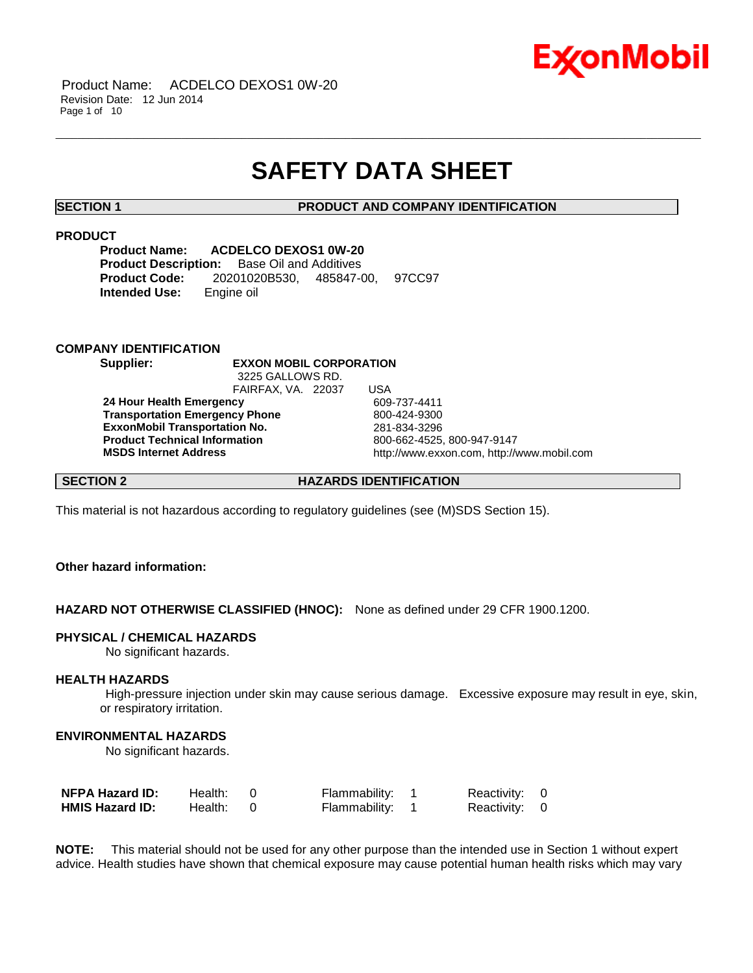

## **SAFETY DATA SHEET**

\_\_\_\_\_\_\_\_\_\_\_\_\_\_\_\_\_\_\_\_\_\_\_\_\_\_\_\_\_\_\_\_\_\_\_\_\_\_\_\_\_\_\_\_\_\_\_\_\_\_\_\_\_\_\_\_\_\_\_\_\_\_\_\_\_\_\_\_\_\_\_\_\_\_\_\_\_\_\_\_\_\_\_\_\_\_\_\_\_\_\_\_\_\_\_\_\_\_\_\_\_\_\_\_\_\_\_\_\_\_\_\_\_\_\_\_\_\_

**SECTION 1 PRODUCT AND COMPANY IDENTIFICATION**

#### **PRODUCT**

**Product Name: ACDELCO DEXOS1 0W-20 Product Description:** Base Oil and Additives **Product Code:** 20201020B530, 485847-00, 97CC97 **Intended Use:** Engine oil

#### **COMPANY IDENTIFICATION**

**Supplier: EXXON MOBIL CORPORATION** 3225 GALLOWS RD.

FAIRFAX, VA. 22037 USA **24 Hour Health Emergency** 609-737-4411 **Transportation Emergency Phone** 800-424-9300 **ExxonMobil Transportation No.** 281-834-3296 **Product Technical Information**<br> **MSDS Internet Address**<br> **MSDS Internet Address**<br> **MSDS Internet Address** 

**MSDS Internet Address** http://www.exxon.com, http://www.mobil.com

**SECTION 2 HAZARDS IDENTIFICATION**

This material is not hazardous according to regulatory guidelines (see (M)SDS Section 15).

#### **Other hazard information:**

**HAZARD NOT OTHERWISE CLASSIFIED (HNOC):** None as defined under 29 CFR 1900.1200.

#### **PHYSICAL / CHEMICAL HAZARDS**

No significant hazards.

#### **HEALTH HAZARDS**

High-pressure injection under skin may cause serious damage. Excessive exposure may result in eye, skin, or respiratory irritation.

#### **ENVIRONMENTAL HAZARDS**

No significant hazards.

| NFPA Hazard ID:        | Health: | Flammability: 1 | Reactivity: 0 |  |
|------------------------|---------|-----------------|---------------|--|
| <b>HMIS Hazard ID:</b> | Health: | Flammability: 1 | Reactivity: 0 |  |

**NOTE:** This material should not be used for any other purpose than the intended use in Section 1 without expert advice. Health studies have shown that chemical exposure may cause potential human health risks which may vary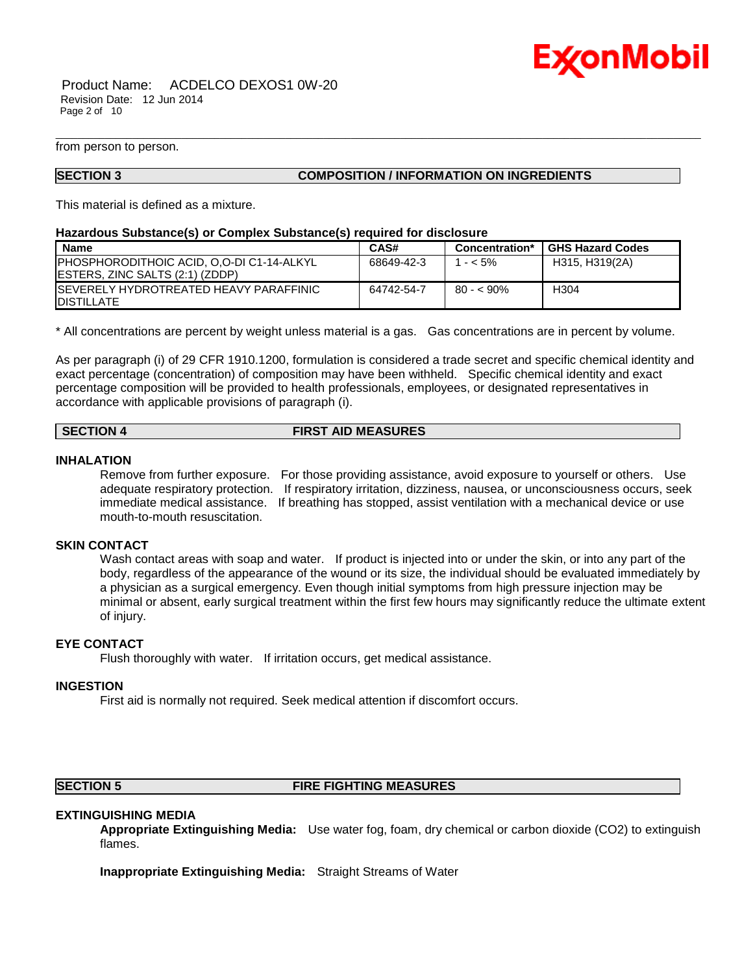

Product Name: ACDELCO DEXOS1 0W-20 Revision Date: 12 Jun 2014 Page 2 of 10

from person to person.

#### **SECTION 3 COMPOSITION / INFORMATION ON INGREDIENTS**

This material is defined as a mixture.

#### **Hazardous Substance(s) or Complex Substance(s) required for disclosure**

| <b>Name</b>                                                                                 | CAS#       | Concentration* | <b>GHS Hazard Codes</b> |
|---------------------------------------------------------------------------------------------|------------|----------------|-------------------------|
| <b>PHOSPHORODITHOIC ACID, O.O-DI C1-14-ALKYL</b><br><b>IESTERS. ZINC SALTS (2:1) (ZDDP)</b> | 68649-42-3 | $1 - 5\%$      | H315, H319(2A)          |
| ISEVERELY HYDROTREATED HEAVY PARAFFINIC<br><b>IDISTILLATE</b>                               | 64742-54-7 | $80 - 5.90\%$  | H304                    |

\_\_\_\_\_\_\_\_\_\_\_\_\_\_\_\_\_\_\_\_\_\_\_\_\_\_\_\_\_\_\_\_\_\_\_\_\_\_\_\_\_\_\_\_\_\_\_\_\_\_\_\_\_\_\_\_\_\_\_\_\_\_\_\_\_\_\_\_\_\_\_\_\_\_\_\_\_\_\_\_\_\_\_\_\_\_\_\_\_\_\_\_\_\_\_\_\_\_\_\_\_\_\_\_\_\_\_\_\_\_\_\_\_\_\_\_\_\_

\* All concentrations are percent by weight unless material is a gas. Gas concentrations are in percent by volume.

As per paragraph (i) of 29 CFR 1910.1200, formulation is considered a trade secret and specific chemical identity and exact percentage (concentration) of composition may have been withheld. Specific chemical identity and exact percentage composition will be provided to health professionals, employees, or designated representatives in accordance with applicable provisions of paragraph (i).

#### **SECTION 4 FIRST AID MEASURES**

#### **INHALATION**

Remove from further exposure. For those providing assistance, avoid exposure to yourself or others. Use adequate respiratory protection. If respiratory irritation, dizziness, nausea, or unconsciousness occurs, seek immediate medical assistance. If breathing has stopped, assist ventilation with a mechanical device or use mouth-to-mouth resuscitation.

#### **SKIN CONTACT**

Wash contact areas with soap and water. If product is injected into or under the skin, or into any part of the body, regardless of the appearance of the wound or its size, the individual should be evaluated immediately by a physician as a surgical emergency. Even though initial symptoms from high pressure injection may be minimal or absent, early surgical treatment within the first few hours may significantly reduce the ultimate extent of injury.

#### **EYE CONTACT**

Flush thoroughly with water. If irritation occurs, get medical assistance.

#### **INGESTION**

First aid is normally not required. Seek medical attention if discomfort occurs.

## **SECTION 5 FIRE FIGHTING MEASURES**

#### **EXTINGUISHING MEDIA**

**Appropriate Extinguishing Media:** Use water fog, foam, dry chemical or carbon dioxide (CO2) to extinguish flames.

**Inappropriate Extinguishing Media:** Straight Streams of Water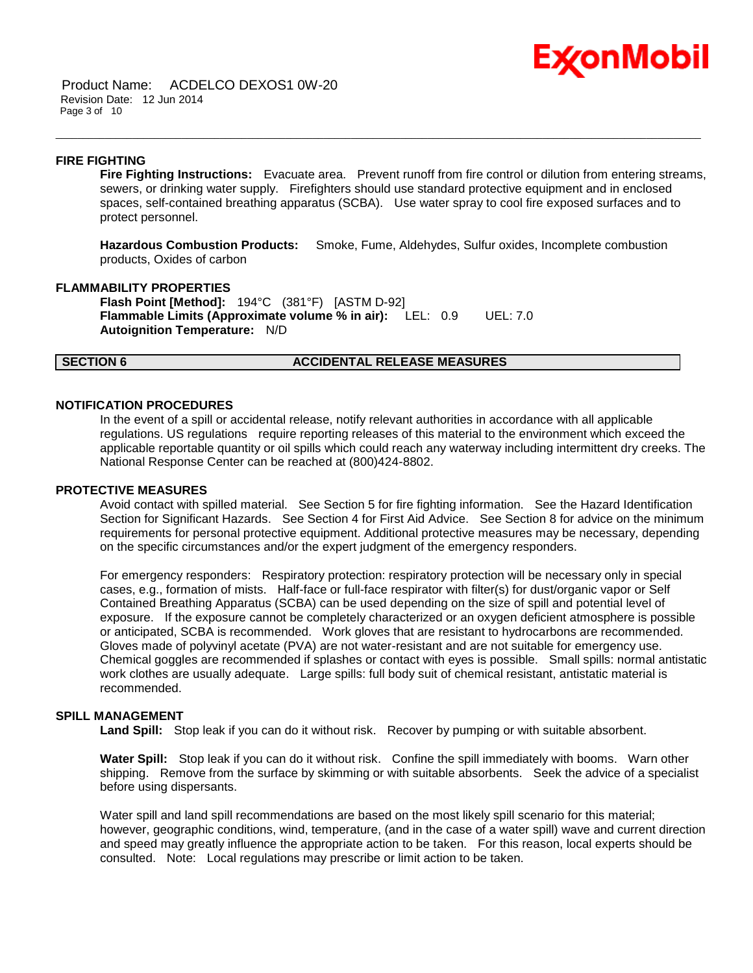## Ex⁄onMobil

Product Name: ACDELCO DEXOS1 0W-20 Revision Date: 12 Jun 2014 Page 3 of 10

#### **FIRE FIGHTING**

**Fire Fighting Instructions:** Evacuate area. Prevent runoff from fire control or dilution from entering streams, sewers, or drinking water supply. Firefighters should use standard protective equipment and in enclosed spaces, self-contained breathing apparatus (SCBA). Use water spray to cool fire exposed surfaces and to protect personnel.

**Hazardous Combustion Products:** Smoke, Fume, Aldehydes, Sulfur oxides, Incomplete combustion products, Oxides of carbon

\_\_\_\_\_\_\_\_\_\_\_\_\_\_\_\_\_\_\_\_\_\_\_\_\_\_\_\_\_\_\_\_\_\_\_\_\_\_\_\_\_\_\_\_\_\_\_\_\_\_\_\_\_\_\_\_\_\_\_\_\_\_\_\_\_\_\_\_\_\_\_\_\_\_\_\_\_\_\_\_\_\_\_\_\_\_\_\_\_\_\_\_\_\_\_\_\_\_\_\_\_\_\_\_\_\_\_\_\_\_\_\_\_\_\_\_\_\_

#### **FLAMMABILITY PROPERTIES**

**Flash Point [Method]:** 194°C (381°F) [ASTM D-92] **Flammable Limits (Approximate volume % in air):** LEL: 0.9 UEL: 7.0 **Autoignition Temperature:** N/D

#### **SECTION 6 ACCIDENTAL RELEASE MEASURES**

#### **NOTIFICATION PROCEDURES**

In the event of a spill or accidental release, notify relevant authorities in accordance with all applicable regulations. US regulations require reporting releases of this material to the environment which exceed the applicable reportable quantity or oil spills which could reach any waterway including intermittent dry creeks. The National Response Center can be reached at (800)424-8802.

#### **PROTECTIVE MEASURES**

Avoid contact with spilled material. See Section 5 for fire fighting information. See the Hazard Identification Section for Significant Hazards. See Section 4 for First Aid Advice. See Section 8 for advice on the minimum requirements for personal protective equipment. Additional protective measures may be necessary, depending on the specific circumstances and/or the expert judgment of the emergency responders.

For emergency responders: Respiratory protection: respiratory protection will be necessary only in special cases, e.g., formation of mists. Half-face or full-face respirator with filter(s) for dust/organic vapor or Self Contained Breathing Apparatus (SCBA) can be used depending on the size of spill and potential level of exposure. If the exposure cannot be completely characterized or an oxygen deficient atmosphere is possible or anticipated, SCBA is recommended. Work gloves that are resistant to hydrocarbons are recommended. Gloves made of polyvinyl acetate (PVA) are not water-resistant and are not suitable for emergency use. Chemical goggles are recommended if splashes or contact with eyes is possible. Small spills: normal antistatic work clothes are usually adequate. Large spills: full body suit of chemical resistant, antistatic material is recommended.

#### **SPILL MANAGEMENT**

Land Spill: Stop leak if you can do it without risk. Recover by pumping or with suitable absorbent.

**Water Spill:** Stop leak if you can do it without risk. Confine the spill immediately with booms. Warn other shipping. Remove from the surface by skimming or with suitable absorbents. Seek the advice of a specialist before using dispersants.

Water spill and land spill recommendations are based on the most likely spill scenario for this material; however, geographic conditions, wind, temperature, (and in the case of a water spill) wave and current direction and speed may greatly influence the appropriate action to be taken. For this reason, local experts should be consulted. Note: Local regulations may prescribe or limit action to be taken.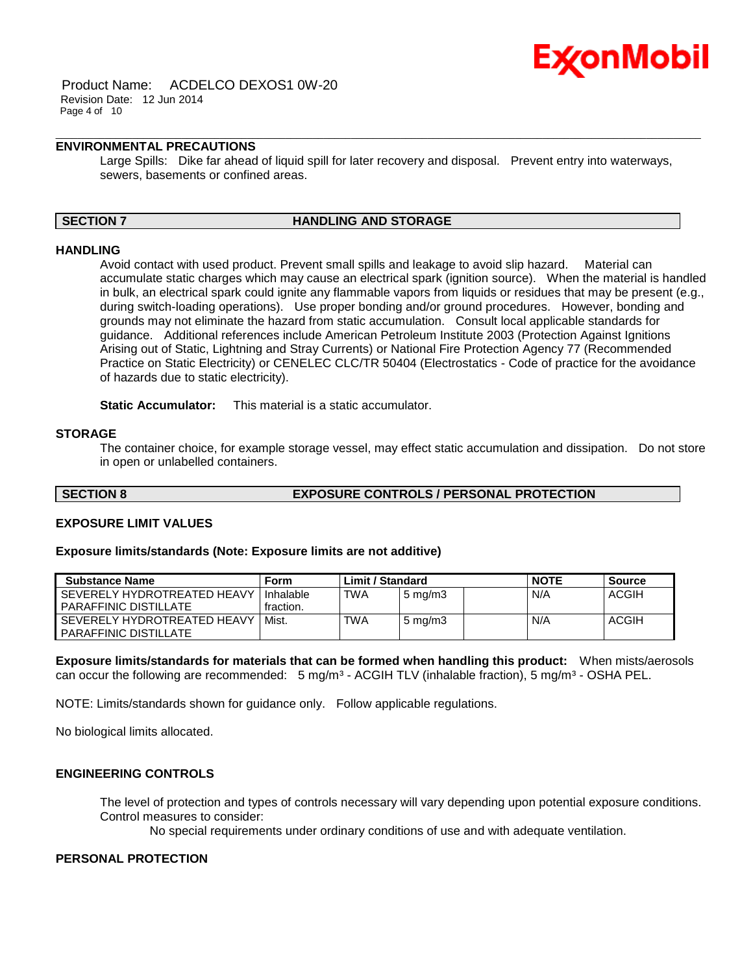

Product Name: ACDELCO DEXOS1 0W-20 Revision Date: 12 Jun 2014 Page 4 of 10

### **ENVIRONMENTAL PRECAUTIONS**

Large Spills: Dike far ahead of liquid spill for later recovery and disposal. Prevent entry into waterways, sewers, basements or confined areas.

\_\_\_\_\_\_\_\_\_\_\_\_\_\_\_\_\_\_\_\_\_\_\_\_\_\_\_\_\_\_\_\_\_\_\_\_\_\_\_\_\_\_\_\_\_\_\_\_\_\_\_\_\_\_\_\_\_\_\_\_\_\_\_\_\_\_\_\_\_\_\_\_\_\_\_\_\_\_\_\_\_\_\_\_\_\_\_\_\_\_\_\_\_\_\_\_\_\_\_\_\_\_\_\_\_\_\_\_\_\_\_\_\_\_\_\_\_\_

#### **SECTION 7 HANDLING AND STORAGE**

#### **HANDLING**

Avoid contact with used product. Prevent small spills and leakage to avoid slip hazard. Material can accumulate static charges which may cause an electrical spark (ignition source). When the material is handled in bulk, an electrical spark could ignite any flammable vapors from liquids or residues that may be present (e.g., during switch-loading operations). Use proper bonding and/or ground procedures. However, bonding and grounds may not eliminate the hazard from static accumulation. Consult local applicable standards for guidance. Additional references include American Petroleum Institute 2003 (Protection Against Ignitions Arising out of Static, Lightning and Stray Currents) or National Fire Protection Agency 77 (Recommended Practice on Static Electricity) or CENELEC CLC/TR 50404 (Electrostatics - Code of practice for the avoidance of hazards due to static electricity).

**Static Accumulator:** This material is a static accumulator.

#### **STORAGE**

The container choice, for example storage vessel, may effect static accumulation and dissipation. Do not store in open or unlabelled containers.

#### **SECTION 8 EXPOSURE CONTROLS / PERSONAL PROTECTION**

#### **EXPOSURE LIMIT VALUES**

#### **Exposure limits/standards (Note: Exposure limits are not additive)**

| <b>Substance Name</b>                                       | Form                   | Limit / Standard |                  | <b>NOTE</b> | Source       |
|-------------------------------------------------------------|------------------------|------------------|------------------|-------------|--------------|
| SEVERELY HYDROTREATED HEAVY<br>PARAFFINIC DISTILLATE        | Inhalable<br>fraction. | <b>TWA</b>       | $5 \text{ mg/m}$ | N/A         | <b>ACGIH</b> |
| SEVERELY HYDROTREATED HEAVY<br><b>PARAFFINIC DISTILLATE</b> | Mist.                  | <b>TWA</b>       | $5 \text{ mg/m}$ | N/A         | ACGIH        |

**Exposure limits/standards for materials that can be formed when handling this product:** When mists/aerosols can occur the following are recommended: 5 mg/m<sup>3</sup> - ACGIH TLV (inhalable fraction), 5 mg/m<sup>3</sup> - OSHA PEL.

NOTE: Limits/standards shown for guidance only. Follow applicable regulations.

No biological limits allocated.

#### **ENGINEERING CONTROLS**

The level of protection and types of controls necessary will vary depending upon potential exposure conditions. Control measures to consider:

No special requirements under ordinary conditions of use and with adequate ventilation.

#### **PERSONAL PROTECTION**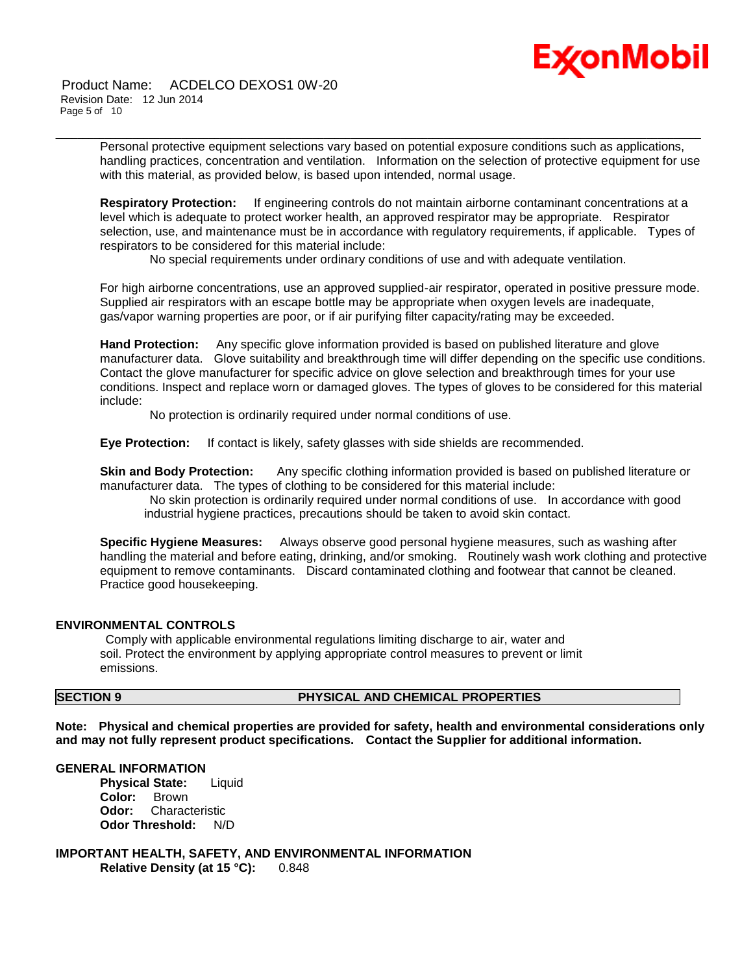# Ex⁄onMobil

Product Name: ACDELCO DEXOS1 0W-20 Revision Date: 12 Jun 2014 Page 5 of 10

> Personal protective equipment selections vary based on potential exposure conditions such as applications, handling practices, concentration and ventilation. Information on the selection of protective equipment for use with this material, as provided below, is based upon intended, normal usage.

\_\_\_\_\_\_\_\_\_\_\_\_\_\_\_\_\_\_\_\_\_\_\_\_\_\_\_\_\_\_\_\_\_\_\_\_\_\_\_\_\_\_\_\_\_\_\_\_\_\_\_\_\_\_\_\_\_\_\_\_\_\_\_\_\_\_\_\_\_\_\_\_\_\_\_\_\_\_\_\_\_\_\_\_\_\_\_\_\_\_\_\_\_\_\_\_\_\_\_\_\_\_\_\_\_\_\_\_\_\_\_\_\_\_\_\_\_\_

**Respiratory Protection:** If engineering controls do not maintain airborne contaminant concentrations at a level which is adequate to protect worker health, an approved respirator may be appropriate. Respirator selection, use, and maintenance must be in accordance with regulatory requirements, if applicable. Types of respirators to be considered for this material include:

No special requirements under ordinary conditions of use and with adequate ventilation.

For high airborne concentrations, use an approved supplied-air respirator, operated in positive pressure mode. Supplied air respirators with an escape bottle may be appropriate when oxygen levels are inadequate, gas/vapor warning properties are poor, or if air purifying filter capacity/rating may be exceeded.

**Hand Protection:** Any specific glove information provided is based on published literature and glove manufacturer data. Glove suitability and breakthrough time will differ depending on the specific use conditions. Contact the glove manufacturer for specific advice on glove selection and breakthrough times for your use conditions. Inspect and replace worn or damaged gloves. The types of gloves to be considered for this material include:

No protection is ordinarily required under normal conditions of use.

**Eye Protection:** If contact is likely, safety glasses with side shields are recommended.

**Skin and Body Protection:** Any specific clothing information provided is based on published literature or manufacturer data. The types of clothing to be considered for this material include:

No skin protection is ordinarily required under normal conditions of use. In accordance with good industrial hygiene practices, precautions should be taken to avoid skin contact.

**Specific Hygiene Measures:** Always observe good personal hygiene measures, such as washing after handling the material and before eating, drinking, and/or smoking. Routinely wash work clothing and protective equipment to remove contaminants. Discard contaminated clothing and footwear that cannot be cleaned. Practice good housekeeping.

#### **ENVIRONMENTAL CONTROLS**

Comply with applicable environmental regulations limiting discharge to air, water and soil. Protect the environment by applying appropriate control measures to prevent or limit emissions.

## **SECTION 9 PHYSICAL AND CHEMICAL PROPERTIES**

**Note: Physical and chemical properties are provided for safety, health and environmental considerations only and may not fully represent product specifications. Contact the Supplier for additional information.**

#### **GENERAL INFORMATION**

**Physical State:** Liquid **Color:** Brown **Odor:** Characteristic **Odor Threshold:** N/D

**IMPORTANT HEALTH, SAFETY, AND ENVIRONMENTAL INFORMATION Relative Density (at 15 °C):** 0.848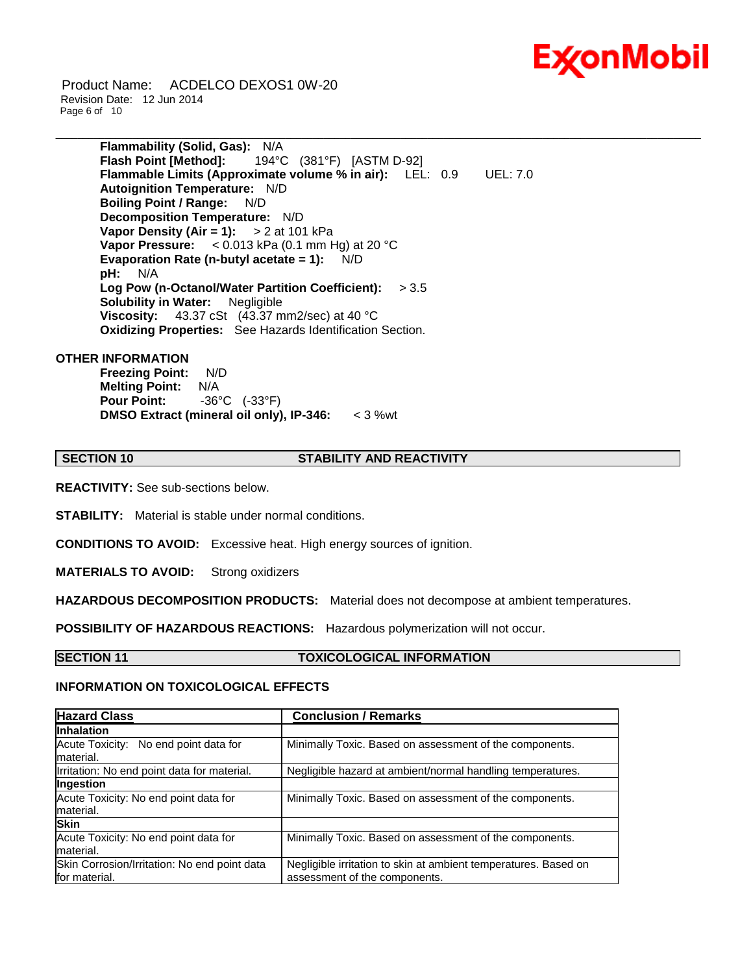

Product Name: ACDELCO DEXOS1 0W-20 Revision Date: 12 Jun 2014 Page 6 of 10

> **Flammability (Solid, Gas):** N/A **Flash Point [Method]:** 194°C (381°F) [ASTM D-92] **Flammable Limits (Approximate volume % in air):** LEL: 0.9 UEL: 7.0 **Autoignition Temperature:** N/D **Boiling Point / Range:** N/D **Decomposition Temperature:** N/D **Vapor Density (Air = 1):** > 2 at 101 kPa **Vapor Pressure:** < 0.013 kPa (0.1 mm Hg) at 20 °C **Evaporation Rate (n-butyl acetate = 1):** N/D **pH:** N/A **Log Pow (n-Octanol/Water Partition Coefficient):** > 3.5 **Solubility in Water:** Negligible **Viscosity:** 43.37 cSt (43.37 mm2/sec) at 40 °C **Oxidizing Properties:** See Hazards Identification Section.

#### **OTHER INFORMATION**

**Freezing Point:** N/D **Melting Point:** N/A **Pour Point:** -36°C (-33°F) **DMSO Extract (mineral oil only), IP-346:** < 3 %wt

#### **SECTION 10 STABILITY AND REACTIVITY**

\_\_\_\_\_\_\_\_\_\_\_\_\_\_\_\_\_\_\_\_\_\_\_\_\_\_\_\_\_\_\_\_\_\_\_\_\_\_\_\_\_\_\_\_\_\_\_\_\_\_\_\_\_\_\_\_\_\_\_\_\_\_\_\_\_\_\_\_\_\_\_\_\_\_\_\_\_\_\_\_\_\_\_\_\_\_\_\_\_\_\_\_\_\_\_\_\_\_\_\_\_\_\_\_\_\_\_\_\_\_\_\_\_\_\_\_\_\_

**REACTIVITY:** See sub-sections below.

**STABILITY:** Material is stable under normal conditions.

**CONDITIONS TO AVOID:** Excessive heat. High energy sources of ignition.

**MATERIALS TO AVOID:** Strong oxidizers

**HAZARDOUS DECOMPOSITION PRODUCTS:** Material does not decompose at ambient temperatures.

**POSSIBILITY OF HAZARDOUS REACTIONS:** Hazardous polymerization will not occur.

#### **SECTION 11 TOXICOLOGICAL INFORMATION**

#### **INFORMATION ON TOXICOLOGICAL EFFECTS**

| <b>Hazard Class</b>                                           | <b>Conclusion / Remarks</b>                                                                      |
|---------------------------------------------------------------|--------------------------------------------------------------------------------------------------|
| <b>Inhalation</b>                                             |                                                                                                  |
| Acute Toxicity: No end point data for<br>material.            | Minimally Toxic. Based on assessment of the components.                                          |
| Irritation: No end point data for material.                   | Negligible hazard at ambient/normal handling temperatures.                                       |
| Ingestion                                                     |                                                                                                  |
| Acute Toxicity: No end point data for<br>material.            | Minimally Toxic. Based on assessment of the components.                                          |
| <b>Skin</b>                                                   |                                                                                                  |
| Acute Toxicity: No end point data for<br>material.            | Minimally Toxic. Based on assessment of the components.                                          |
| Skin Corrosion/Irritation: No end point data<br>for material. | Negligible irritation to skin at ambient temperatures. Based on<br>assessment of the components. |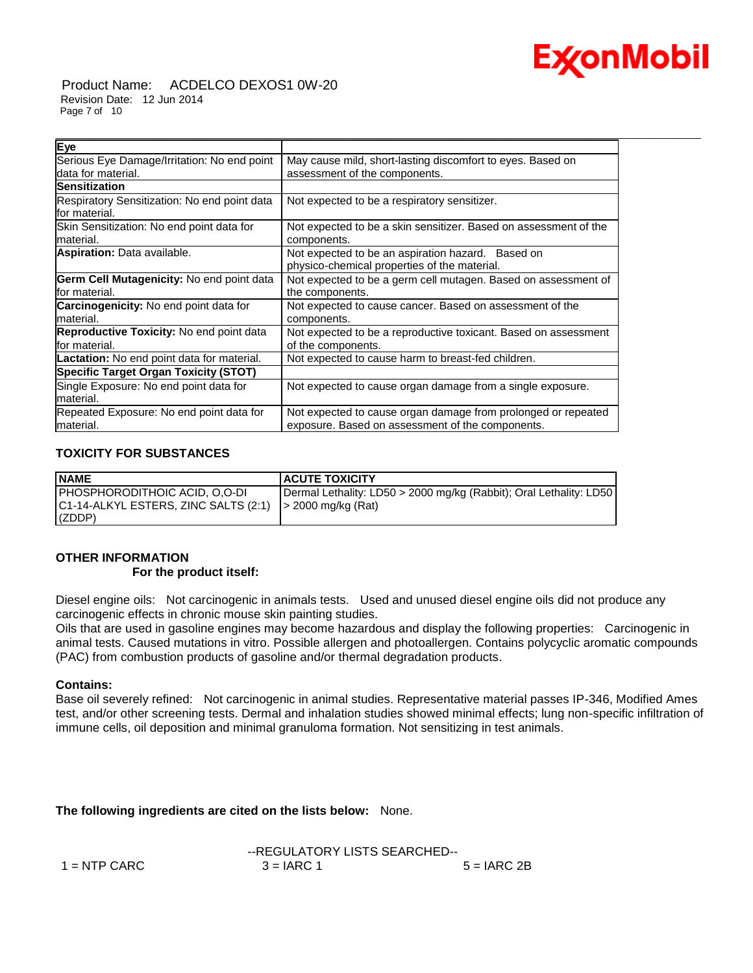

Product Name: ACDELCO DEXOS1 0W-20 Revision Date: 12 Jun 2014 Page 7 of 10

| Eye                                                            |                                                                  |
|----------------------------------------------------------------|------------------------------------------------------------------|
| Serious Eye Damage/Irritation: No end point                    | May cause mild, short-lasting discomfort to eyes. Based on       |
| data for material.                                             | assessment of the components.                                    |
| <b>Sensitization</b>                                           |                                                                  |
| Respiratory Sensitization: No end point data<br>lfor material. | Not expected to be a respiratory sensitizer.                     |
| Skin Sensitization: No end point data for                      | Not expected to be a skin sensitizer. Based on assessment of the |
| lmaterial.                                                     | components.                                                      |
| <b>Aspiration:</b> Data available.                             | Not expected to be an aspiration hazard. Based on                |
|                                                                | physico-chemical properties of the material.                     |
| Germ Cell Mutagenicity: No end point data                      | Not expected to be a germ cell mutagen. Based on assessment of   |
| lfor material.                                                 | the components.                                                  |
| <b>Carcinogenicity:</b> No end point data for                  | Not expected to cause cancer. Based on assessment of the         |
| lmaterial.                                                     | components.                                                      |
| <b>Reproductive Toxicity: No end point data</b>                | Not expected to be a reproductive toxicant. Based on assessment  |
| lfor material.                                                 | of the components.                                               |
| Lactation: No end point data for material.                     | Not expected to cause harm to breast-fed children.               |
| <b>Specific Target Organ Toxicity (STOT)</b>                   |                                                                  |
| Single Exposure: No end point data for                         | Not expected to cause organ damage from a single exposure.       |
| lmaterial.                                                     |                                                                  |
| Repeated Exposure: No end point data for                       | Not expected to cause organ damage from prolonged or repeated    |
| material.                                                      | exposure. Based on assessment of the components.                 |

\_\_\_\_\_\_\_\_\_\_\_\_\_\_\_\_\_\_\_\_\_\_\_\_\_\_\_\_\_\_\_\_\_\_\_\_\_\_\_\_\_\_\_\_\_\_\_\_\_\_\_\_\_\_\_\_\_\_\_\_\_\_\_\_\_\_\_\_\_\_\_\_\_\_\_\_\_\_\_\_\_\_\_\_\_\_\_\_\_\_\_\_\_\_\_\_\_\_\_\_\_\_\_\_\_\_\_\_\_\_\_\_\_\_\_\_\_\_

## **TOXICITY FOR SUBSTANCES**

| <b>NAME</b>                                                    | <b>ACUTE TOXICITY</b>                                              |
|----------------------------------------------------------------|--------------------------------------------------------------------|
| PHOSPHORODITHOIC ACID, O,O-DI                                  | Dermal Lethality: LD50 > 2000 mg/kg (Rabbit); Oral Lethality: LD50 |
| $ C1-14-ALKYL ESTERS, ZINC SALTS (2:1)$ $  > 2000$ mg/kg (Rat) |                                                                    |
| (CDDP)                                                         |                                                                    |

## **OTHER INFORMATION**

#### **For the product itself:**

Diesel engine oils: Not carcinogenic in animals tests. Used and unused diesel engine oils did not produce any carcinogenic effects in chronic mouse skin painting studies.

Oils that are used in gasoline engines may become hazardous and display the following properties: Carcinogenic in animal tests. Caused mutations in vitro. Possible allergen and photoallergen. Contains polycyclic aromatic compounds (PAC) from combustion products of gasoline and/or thermal degradation products.

#### **Contains:**

Base oil severely refined: Not carcinogenic in animal studies. Representative material passes IP-346, Modified Ames test, and/or other screening tests. Dermal and inhalation studies showed minimal effects; lung non-specific infiltration of immune cells, oil deposition and minimal granuloma formation. Not sensitizing in test animals.

#### **The following ingredients are cited on the lists below:** None.

|                | --REGULATORY LISTS SEARCHED-- |               |
|----------------|-------------------------------|---------------|
| $1 =$ NTP CARC | $3 = IARC 1$                  | $5 = IARC 2B$ |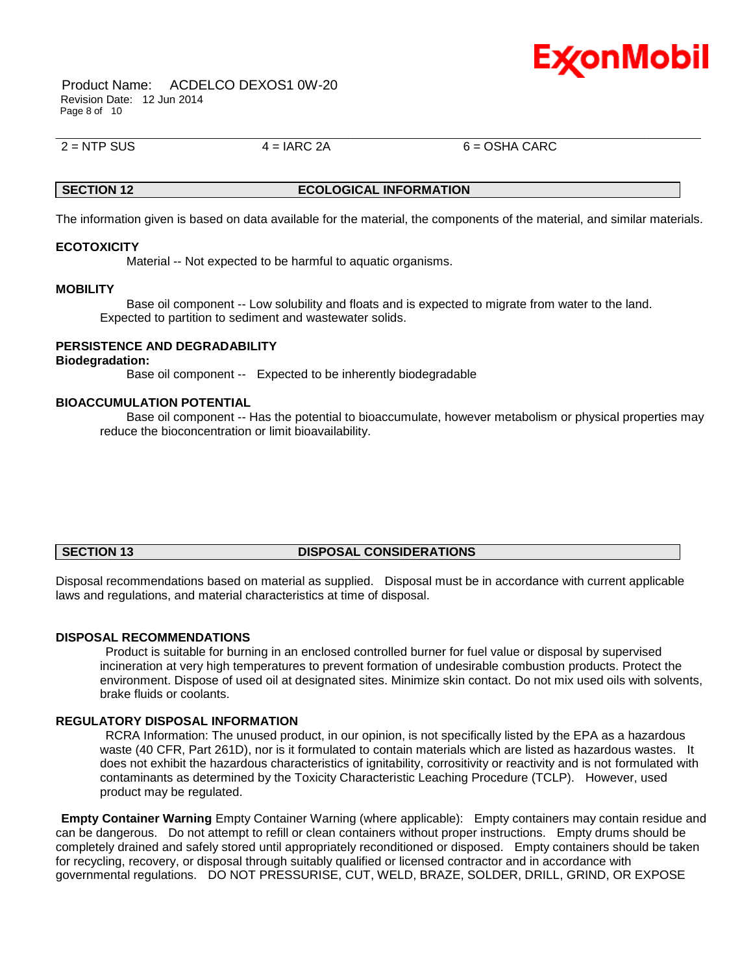

Product Name: ACDELCO DEXOS1 0W-20 Revision Date: 12 Jun 2014 Page 8 of 10

 $2 =$  NTP SUS  $4 =$  IARC 2A 6 = OSHA CARC

## **SECTION 12 ECOLOGICAL INFORMATION**

\_\_\_\_\_\_\_\_\_\_\_\_\_\_\_\_\_\_\_\_\_\_\_\_\_\_\_\_\_\_\_\_\_\_\_\_\_\_\_\_\_\_\_\_\_\_\_\_\_\_\_\_\_\_\_\_\_\_\_\_\_\_\_\_\_\_\_\_\_\_\_\_\_\_\_\_\_\_\_\_\_\_\_\_\_\_\_\_\_\_\_\_\_\_\_\_\_\_\_\_\_\_\_\_\_\_\_\_\_\_\_\_\_\_\_\_\_\_

The information given is based on data available for the material, the components of the material, and similar materials.

#### **ECOTOXICITY**

Material -- Not expected to be harmful to aquatic organisms.

#### **MOBILITY**

 Base oil component -- Low solubility and floats and is expected to migrate from water to the land. Expected to partition to sediment and wastewater solids.

## **PERSISTENCE AND DEGRADABILITY**

#### **Biodegradation:**

Base oil component -- Expected to be inherently biodegradable

#### **BIOACCUMULATION POTENTIAL**

 Base oil component -- Has the potential to bioaccumulate, however metabolism or physical properties may reduce the bioconcentration or limit bioavailability.

#### **SECTION 13 DISPOSAL CONSIDERATIONS**

Disposal recommendations based on material as supplied. Disposal must be in accordance with current applicable laws and regulations, and material characteristics at time of disposal.

#### **DISPOSAL RECOMMENDATIONS**

Product is suitable for burning in an enclosed controlled burner for fuel value or disposal by supervised incineration at very high temperatures to prevent formation of undesirable combustion products. Protect the environment. Dispose of used oil at designated sites. Minimize skin contact. Do not mix used oils with solvents, brake fluids or coolants.

#### **REGULATORY DISPOSAL INFORMATION**

RCRA Information: The unused product, in our opinion, is not specifically listed by the EPA as a hazardous waste (40 CFR, Part 261D), nor is it formulated to contain materials which are listed as hazardous wastes. It does not exhibit the hazardous characteristics of ignitability, corrositivity or reactivity and is not formulated with contaminants as determined by the Toxicity Characteristic Leaching Procedure (TCLP). However, used product may be regulated.

**Empty Container Warning** Empty Container Warning (where applicable): Empty containers may contain residue and can be dangerous. Do not attempt to refill or clean containers without proper instructions. Empty drums should be completely drained and safely stored until appropriately reconditioned or disposed. Empty containers should be taken for recycling, recovery, or disposal through suitably qualified or licensed contractor and in accordance with governmental regulations. DO NOT PRESSURISE, CUT, WELD, BRAZE, SOLDER, DRILL, GRIND, OR EXPOSE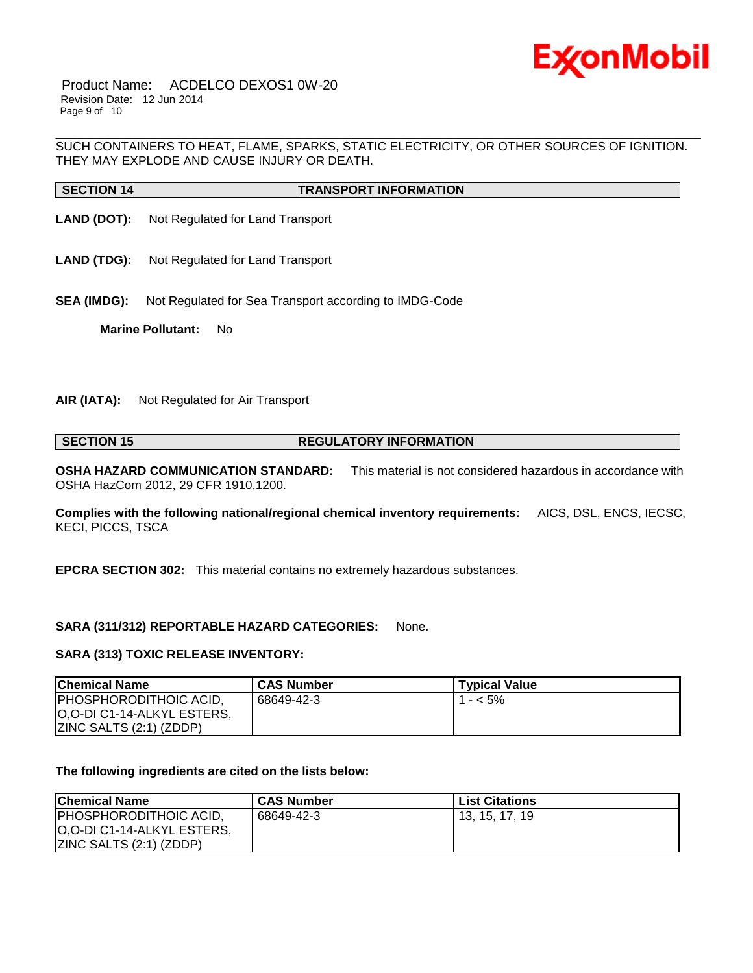

Product Name: ACDELCO DEXOS1 0W-20 Revision Date: 12 Jun 2014 Page 9 of 10

\_\_\_\_\_\_\_\_\_\_\_\_\_\_\_\_\_\_\_\_\_\_\_\_\_\_\_\_\_\_\_\_\_\_\_\_\_\_\_\_\_\_\_\_\_\_\_\_\_\_\_\_\_\_\_\_\_\_\_\_\_\_\_\_\_\_\_\_\_\_\_\_\_\_\_\_\_\_\_\_\_\_\_\_\_\_\_\_\_\_\_\_\_\_\_\_\_\_\_\_\_\_\_\_\_\_\_\_\_\_\_\_\_\_\_\_\_\_ SUCH CONTAINERS TO HEAT, FLAME, SPARKS, STATIC ELECTRICITY, OR OTHER SOURCES OF IGNITION. THEY MAY EXPLODE AND CAUSE INJURY OR DEATH.

| <b>SECTION 14</b> | <b>TRANSPORT INFORMATION</b> |
|-------------------|------------------------------|
|                   |                              |

- **LAND (DOT):** Not Regulated for Land Transport
- **LAND (TDG):** Not Regulated for Land Transport
- **SEA (IMDG):** Not Regulated for Sea Transport according to IMDG-Code

**Marine Pollutant:** No

#### **AIR (IATA):** Not Regulated for Air Transport

#### **SECTION 15 REGULATORY INFORMATION**

**OSHA HAZARD COMMUNICATION STANDARD:** This material is not considered hazardous in accordance with OSHA HazCom 2012, 29 CFR 1910.1200.

**Complies with the following national/regional chemical inventory requirements:** AICS, DSL, ENCS, IECSC, KECI, PICCS, TSCA

**EPCRA SECTION 302:** This material contains no extremely hazardous substances.

#### **SARA (311/312) REPORTABLE HAZARD CATEGORIES:** None.

#### **SARA (313) TOXIC RELEASE INVENTORY:**

| <b>Chemical Name</b>                                                                           | <b>CAS Number</b> | <b>Typical Value</b> |
|------------------------------------------------------------------------------------------------|-------------------|----------------------|
| <b>PHOSPHORODITHOIC ACID,</b><br>O,O-DI C1-14-ALKYL ESTERS,<br><b>IZINC SALTS (2:1) (ZDDP)</b> | 68649-42-3        | $1 - 5\%$            |

#### **The following ingredients are cited on the lists below:**

| <b>Chemical Name</b>                                                                                  | <b>CAS Number</b> | List Citations |
|-------------------------------------------------------------------------------------------------------|-------------------|----------------|
| <b>IPHOSPHORODITHOIC ACID.</b><br><b>O,O-DI C1-14-ALKYL ESTERS,</b><br><b>ZINC SALTS (2:1) (ZDDP)</b> | 68649-42-3        | 13, 15, 17, 19 |